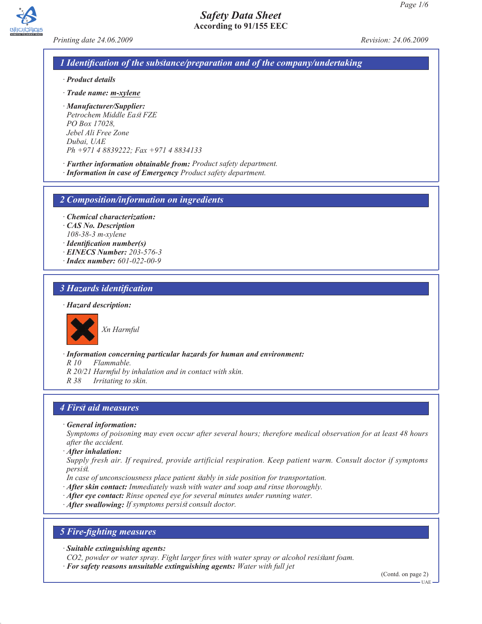



*Printing date 24.06.2009 Revision: 24.06.2009*

# *1 Identification of the substance/preparation and of the company/undertaking*

- *· Product details*
- *· Trade name: m-xylene*
- *· Manufacturer/Supplier: Petrochem Middle East FZE PO Box 17028, Jebel Ali Free Zone Dubai, UAE Ph +971 4 8839222; Fax +971 4 8834133*
- *· Further information obtainable from: Product safety department.*
- *· Information in case of Emergency Product safety department.*

*2 Composition/information on ingredients*

- *· Chemical characterization:*
- *· CAS No. Description*
- *108-38-3 m-xylene*
- *· Identification number(s)*
- *· EINECS Number: 203-576-3*
- *· Index number: 601-022-00-9*

## *3 Hazards identification*

#### *· Hazard description:*



*Xn Harmful*

*· Information concerning particular hazards for human and environment:*

*R 10 Flammable.*

- *R 20/21 Harmful by inhalation and in contact with skin.*
- *R 38 Irritating to skin.*

## *4 First aid measures*

*· General information:*

*Symptoms of poisoning may even occur after several hours; therefore medical observation for at least 48 hours after the accident.*

*· After inhalation:*

*Supply fresh air. If required, provide artificial respiration. Keep patient warm. Consult doctor if symptoms persist.*

- *In case of unconsciousness place patient stably in side position for transportation.*
- *· After skin contact: Immediately wash with water and soap and rinse thoroughly.*
- *· After eye contact: Rinse opened eye for several minutes under running water.*
- *· After swallowing: If symptoms persist consult doctor.*

## *5 Fire-fighting measures*

*· Suitable extinguishing agents:*

*CO2, powder or water spray. Fight larger fires with water spray or alcohol resistant foam.*

*· For safety reasons unsuitable extinguishing agents: Water with full jet*

(Contd. on page 2)

UAE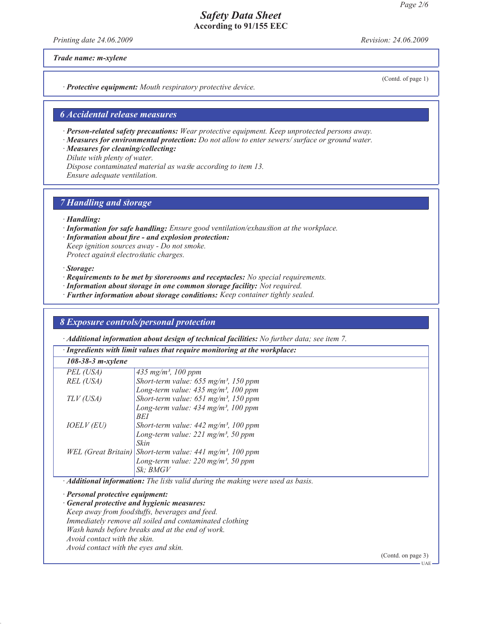*Printing date 24.06.2009 Revision: 24.06.2009*

*Trade name: m-xylene*

(Contd. of page 1)

*· Protective equipment: Mouth respiratory protective device.*

## *6 Accidental release measures*

*· Person-related safety precautions: Wear protective equipment. Keep unprotected persons away.*

*· Measures for environmental protection: Do not allow to enter sewers/ surface or ground water.*

*· Measures for cleaning/collecting:*

*Dilute with plenty of water.*

*Dispose contaminated material as waste according to item 13. Ensure adequate ventilation.*

*7 Handling and storage*

- *· Handling:*
- *· Information for safe handling: Ensure good ventilation/exhaustion at the workplace.*
- *· Information about fire and explosion protection: Keep ignition sources away - Do not smoke.*

*Protect against electrostatic charges.*

#### *· Storage:*

- *· Requirements to be met by storerooms and receptacles: No special requirements.*
- *· Information about storage in one common storage facility: Not required.*
- *· Further information about storage conditions: Keep container tightly sealed.*

# *8 Exposure controls/personal protection*

*· Additional information about design of technical facilities: No further data; see item 7.*

| · Ingredients with limit values that require monitoring at the workplace:                    |                                                                         |  |  |
|----------------------------------------------------------------------------------------------|-------------------------------------------------------------------------|--|--|
| $108 - 38 - 3$ m-xylene                                                                      |                                                                         |  |  |
| PEL (USA)                                                                                    | 435 mg/m <sup>3</sup> , 100 ppm                                         |  |  |
| REL (USA)                                                                                    | Short-term value: $655$ mg/m <sup>3</sup> , 150 ppm                     |  |  |
|                                                                                              | Long-term value: $435 \text{ mg/m}^3$ , 100 ppm                         |  |  |
| TLV (USA)                                                                                    | Short-term value: $651$ mg/m <sup>3</sup> , 150 ppm                     |  |  |
|                                                                                              | Long-term value: $434 \text{ mg/m}^3$ , 100 ppm                         |  |  |
|                                                                                              | BEI                                                                     |  |  |
| <i>IOELV (EU)</i>                                                                            | Short-term value: $442 \text{ mg/m}^3$ , 100 ppm                        |  |  |
|                                                                                              | Long-term value: $221$ mg/m <sup>3</sup> , 50 ppm                       |  |  |
|                                                                                              | Skin                                                                    |  |  |
|                                                                                              | WEL (Great Britain)   Short-term value: 441 mg/m <sup>3</sup> , 100 ppm |  |  |
|                                                                                              | Long-term value: $220$ mg/m <sup>3</sup> , 50 ppm                       |  |  |
|                                                                                              | Sk: BMGV                                                                |  |  |
| $\cdot$ <b>Additional information:</b> The lists valid during the making were used as basis. |                                                                         |  |  |
|                                                                                              |                                                                         |  |  |

*· Personal protective equipment:*

*· General protective and hygienic measures:*

*Keep away from foodstuffs, beverages and feed.*

*Immediately remove all soiled and contaminated clothing*

*Wash hands before breaks and at the end of work.*

*Avoid contact with the skin.*

*Avoid contact with the eyes and skin.*

(Contd. on page 3)

UAE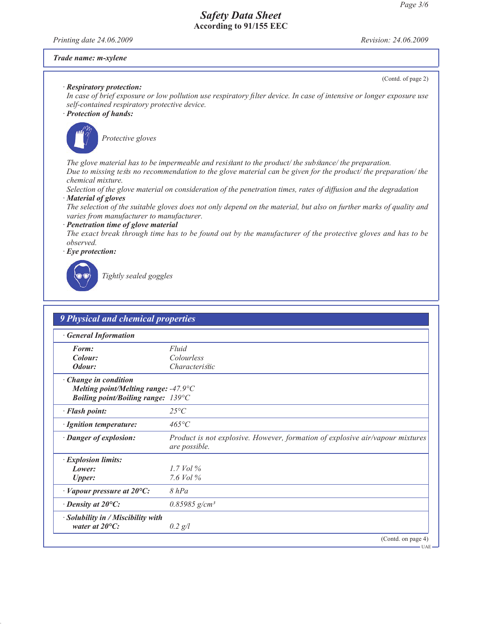*Printing date 24.06.2009 Revision: 24.06.2009*

#### *Trade name: m-xylene*

(Contd. of page 2)

#### *· Respiratory protection:*

*In case of brief exposure or low pollution use respiratory filter device. In case of intensive or longer exposure use self-contained respiratory protective device.*

## *· Protection of hands:*



*Protective gloves*

*The glove material has to be impermeable and resistant to the product/ the substance/ the preparation. Due to missing tests no recommendation to the glove material can be given for the product/ the preparation/ the chemical mixture.*

*Selection of the glove material on consideration of the penetration times, rates of diffusion and the degradation · Material of gloves*

*The selection of the suitable gloves does not only depend on the material, but also on further marks of quality and varies from manufacturer to manufacturer.*

*· Penetration time of glove material*

*The exact break through time has to be found out by the manufacturer of the protective gloves and has to be observed.*

*· Eye protection:*



*Tightly sealed goggles*

| <b>General Information</b>                                           |                                                                                                |  |
|----------------------------------------------------------------------|------------------------------------------------------------------------------------------------|--|
| Form:                                                                | Fluid                                                                                          |  |
| Colour:                                                              | Colourless                                                                                     |  |
| Odour:                                                               | <i>Characteristic</i>                                                                          |  |
| · Change in condition                                                |                                                                                                |  |
| Melting point/Melting range: $-47.9^{\circ}C$                        |                                                                                                |  |
| <b>Boiling point/Boiling range: 139°C</b>                            |                                                                                                |  |
| · Flash point:                                                       | $25^{\circ}C$                                                                                  |  |
| · Ignition temperature:                                              | $465^{\circ}C$                                                                                 |  |
| · Danger of explosion:                                               | Product is not explosive. However, formation of explosive air/vapour mixtures<br>are possible. |  |
| · Explosion limits:                                                  |                                                                                                |  |
| Lower:                                                               | 1.7 Vol $\%$                                                                                   |  |
| <b>Upper:</b>                                                        | 7.6 Vol %                                                                                      |  |
| $\cdot$ Vapour pressure at 20 $\rm{^{\circ}C:}$                      | $8$ $hPa$                                                                                      |  |
| $\cdot$ Density at 20 $\mathrm{^{\circ}C:}$                          | $0.85985$ g/cm <sup>3</sup>                                                                    |  |
| $\cdot$ Solubility in / Miscibility with<br>water at $20^{\circ}$ C: | $0.2$ g/l                                                                                      |  |

UAE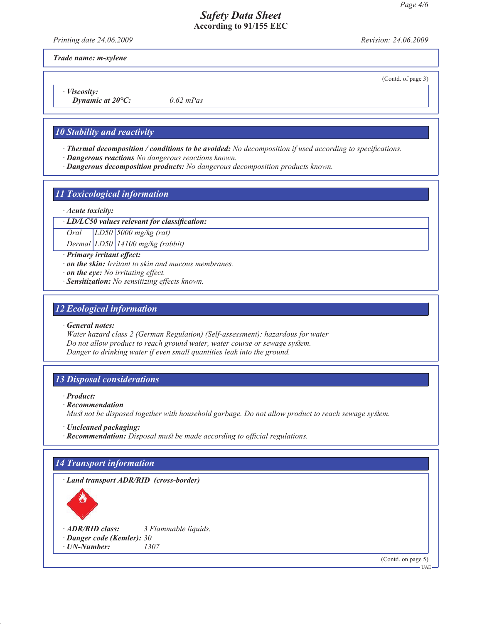*Printing date 24.06.2009 Revision: 24.06.2009*

(Contd. of page 3)

*Trade name: m-xylene*

*· Viscosity:*

*Dynamic at 20°C: 0.62 mPas*

## *10 Stability and reactivity*

- *· Thermal decomposition / conditions to be avoided: No decomposition if used according to specifications.*
- *· Dangerous reactions No dangerous reactions known.*
- *· Dangerous decomposition products: No dangerous decomposition products known.*

## *11 Toxicological information*

#### *· Acute toxicity:*

*· LD/LC50 values relevant for classification:*

*Oral LD50 5000 mg/kg (rat) Dermal LD50 14100 mg/kg (rabbit)*

- *· Primary irritant effect:*
- *· on the skin: Irritant to skin and mucous membranes.*
- *· on the eye: No irritating effect.*
- *· Sensitization: No sensitizing effects known.*

# *12 Ecological information*

*· General notes:*

*Water hazard class 2 (German Regulation) (Self-assessment): hazardous for water Do not allow product to reach ground water, water course or sewage system. Danger to drinking water if even small quantities leak into the ground.*

## *13 Disposal considerations*

*· Product:*

*· Recommendation*

*Must not be disposed together with household garbage. Do not allow product to reach sewage system.*

- *· Uncleaned packaging:*
- *· Recommendation: Disposal must be made according to official regulations.*

# *14 Transport information*

*· Land transport ADR/RID (cross-border)*



*· ADR/RID class: 3 Flammable liquids. · Danger code (Kemler): 30*

*· UN-Number: 1307*

(Contd. on page 5)

 $-UAE -$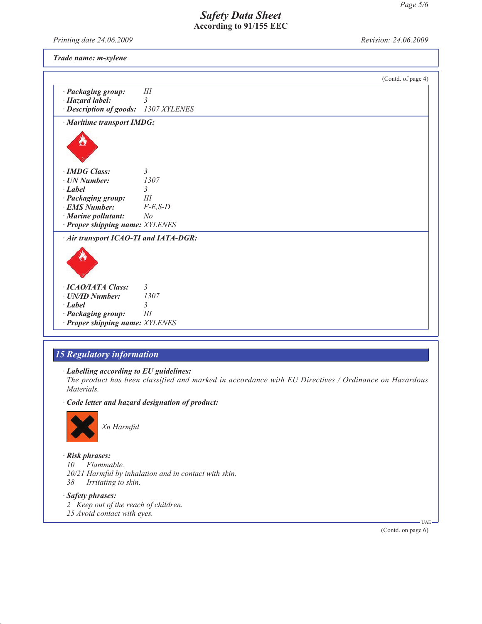*Printing date 24.06.2009 Revision: 24.06.2009*

*Trade name: m-xylene*

|                                                               |                         | (Contd. of page 4) |
|---------------------------------------------------------------|-------------------------|--------------------|
| · Packaging group:                                            | III                     |                    |
| $\cdot$ Hazard label:<br>· Description of goods: 1307 XYLENES | $\mathfrak{Z}$          |                    |
|                                                               |                         |                    |
| · Maritime transport IMDG:                                    |                         |                    |
|                                                               |                         |                    |
| · IMDG Class:                                                 | $\mathfrak{Z}$          |                    |
| $\cdot$ UN Number:                                            | 1307                    |                    |
| · Label                                                       | 3                       |                    |
| · Packaging group:                                            | Ш                       |                    |
| · EMS Number:                                                 | $F-E$ , $S-D$           |                    |
| · Marine pollutant:                                           | N <sub>o</sub>          |                    |
| · Proper shipping name: XYLENES                               |                         |                    |
| · Air transport ICAO-TI and IATA-DGR:                         |                         |                    |
|                                                               |                         |                    |
| · ICAO/IATA Class:                                            | 3                       |                    |
| · UN/ID Number:                                               | 1307                    |                    |
| · Label                                                       | $\overline{\mathbf{3}}$ |                    |
| · Packaging group:                                            | III                     |                    |
| · Proper shipping name: XYLENES                               |                         |                    |

# *15 Regulatory information*

#### *· Labelling according to EU guidelines:*

*The product has been classified and marked in accordance with EU Directives / Ordinance on Hazardous Materials.*

#### *· Code letter and hazard designation of product:*



*Xn Harmful*

## *· Risk phrases:*

*10 Flammable. 20/21 Harmful by inhalation and in contact with skin. 38 Irritating to skin.*

*· Safety phrases: 2 Keep out of the reach of children. 25 Avoid contact with eyes.*

(Contd. on page 6)

UAE